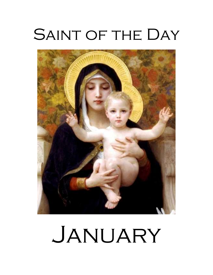# SAINT OF THE DAY



# JANUARY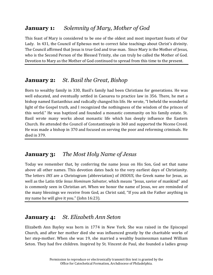# **January 1:** *Solemnity of Mary, Mother of God*

This feast of Mary is considered to be one of the oldest and most important feasts of Our Lady. In 431, the Council of Ephesus met to correct false teachings about Christ's divinity. The Council affirmed that Jesus is true God and true man. Since Mary is the Mother of Jesus, who is the Second Person of the Blessed Trinity, she can truly be called the Mother of God. Devotion to Mary as the Mother of God continued to spread from this time to the present.

# **January 2:** *St. Basil the Great, Bishop*

Born to wealthy family in 330, Basil's family had been Christians for generations. He was well educated, and eventually settled in Caesarea to practice law in 356. There, he met a bishop named Eustanthius and radically changed his life. He wrote, "I beheld the wonderful light of the Gospel truth, and I recognized the nothingness of the wisdom of the princes of this world." He was baptized and founded a monastic community on his family estate. St. Basil wrote many works about monastic life which has deeply influence the Eastern Church. He attended the Council of Constantinople in 360 and supported the Nicene Creed. He was made a bishop in 370 and focused on serving the poor and reforming criminals. He died in 379.

# **January 3:** *The Most Holy Name of Jesus*

Today we remember that, by conferring the name Jesus on His Son, God set that name above all other names. This devotion dates back to the very earliest days of Christianity. The letters *IHS* are a Christogram (abbreviation) of *IHSOUS*, the Greek name for Jesus, as well as the Latin title *Iesus Hominum Salvator*, which means "Jesus, savior of mankind" and is commonly seen in Christian art. When we honor the name of Jesus, we are reminded of the many blessings we receive from God, as Christ said, "If you ask the Father anything in my name he will give it you." (John 16:23).

# **January 4:** *St. Elizabeth Ann Seton*

Elizabeth Ann Bayley was born in 1774 in New York. She was raised in the Episcopal Church, and after her mother died she was influenced greatly by the charitable works of her step-mother. When she was 19, she married a wealthy businessman named William Seton. They had five children. Inspired by St. Vincent de Paul, she founded a ladies group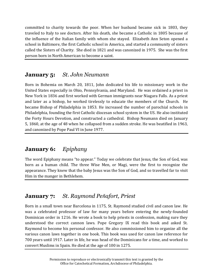committed to charity towards the poor. When her husband became sick in 1803, they traveled to Italy to see doctors. After his death, she became a Catholic in 1805 because of the influence of the Italian family with whom she stayed. Elizabeth Ann Seton opened a school in Baltimore, the first Catholic school in America, and started a community of sisters called the Sisters of Charity. She died in 1821 and was canonized in 1975. She was the first person born in North American to become a saint.

# **January 5:** *St. John Neumann*

Born in Bohemia on March 20, 1811, John dedicated his life to missionary work in the United States especially in Ohio, Pennsylvania, and Maryland. He was ordained a priest in New York in 1836 and first worked with German immigrants near Niagara Falls. As a priest and later as a bishop, he worked tirelessly to educate the members of the Church. He became Bishop of Philadelphia in 1853. He increased the number of parochial schools in Philadelphia, founding the first Catholic diocesan school system in the US. He also instituted the Forty Hours Devotion, and constructed a cathedral. Bishop Neumann died on January 5, 1860, at the age of 48 when he collapsed from a sudden stroke. He was beatified in 1963, and canonized by Pope Paul VI in June 1977.

# **January 6:** *Epiphany*

The word Epiphany means "to appear." Today we celebrate that Jesus, the Son of God, was born as a human child. The three Wise Men, or Magi, were the first to recognize the appearance. They knew that the baby Jesus was the Son of God, and so travelled far to visit Him in the manger in Bethlehem.

# **January 7:** *St. Raymond Peñafort, Priest*

Born in a small town near Barcelona in 1175, St. Raymond studied civil and canon law. He was a celebrated professor of law for many years before entering the newly-founded Dominican order in 1216. He wrote a book to help priests in confession, making sure they understood the correct cannon laws. Pope Gregory IX read this book and asked St. Raymond to become his personal confessor. He also commissioned him to organize all the various canon laws together in one book. This book was used for canon law reference for 700 years until 1917. Later in life, he was head of the Dominicans for a time, and worked to convert Muslims in Spain. He died at the age of 100 in 1275.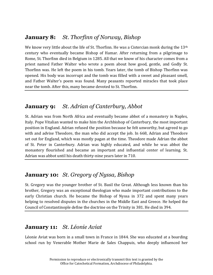# **January 8:** *St. Thorfinn of Norway, Bishop*

We know very little about the life of St. Thorfinn. He was a Cistercian monk during the  $13<sup>th</sup>$ century who eventually became Bishop of Hamar. After returning from a pilgrimage to Rome, St. Thorfinn died in Belgium in 1285. All that we know of his character comes from a priest named Father Walter who wrote a poem about how good, gentle, and Godly St. Thorfinn was. He left the poem in his tomb. Years later, the tomb of Bishop Thorfinn was opened. His body was incorrupt and the tomb was filled with a sweet and pleasant smell, and Father Walter's poem was found. Many peasants reported miracles that took place near the tomb. After this, many became devoted to St. Thorfinn.

# **January 9:** *St. Adrian of Canterbury, Abbot*

St. Adrian was from North Africa and eventually became abbot of a monastery in Naples, Italy. Pope Vitalian wanted to make him the Archbishop of Canterbury, the most important position in England. Adrian refused the position because he felt unworthy, but agreed to go with and advise Theodore, the man who did accept the job. In 668, Adrian and Theodore set out for England, which was mostly pagan at the time. Theodore made Adrian the abbot of St. Peter in Canterbury. Adrian was highly educated, and while he was abbot the monastery flourished and became an important and influential center of learning. St. Adrian was abbot until his death thirty-nine years later in 710.

# **January 10:** *St. Gregory of Nyssa, Bishop*

St. Gregory was the younger brother of St. Basil the Great. Although less known than his brother, Gregory was an exceptional theologian who made important contributions to the early Christian church. He became the Bishop of Nyssa in 372 and spent many years helping to resolved disputes in the churches in the Middle East and Greece. He helped the Council of Constantinople define the doctrine on the Trinity in 381. He died in 394.

# **January 11:** *St. Léonie Aviat*

Léonie Aviat was born in a small town in France in 1844. She was educated at a boarding school run by Venerable Mother Marie de Sales Chappuis, who deeply influenced her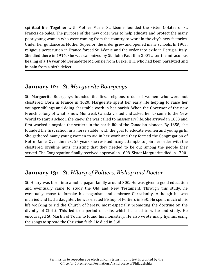spiritual life. Together with Mother Marie, St. Léonie founded the Sister Oblates of St. Francis de Sales. The purpose of the new order was to help educate and protect the many poor young women who were coming from the country to work in the city's new factories. Under her guidance as Mother Superior, the order grew and opened many schools. In 1903, religious persecution in France forced St. Léonie and the order into exile in Perugia, Italy. She died there in 1914. She was canonized by St. John Paul II in 2001 after the miraculous healing of a 14 year old Bernadette McKenzie from Drexel Hill, who had been paralyzed and in pain from a birth defect.

# **January 12:** *St. Marguerite Bourgeoys*

St. Marguerite Bourgeoys founded the first religious order of women who were not cloistered. Born in France in 1620, Marguerite spent her early life helping to raise her younger siblings and doing charitable work in her parish. When the Governor of the new French colony of what is now Montreal, Canada visited and asked her to come to the New World to start a school, she knew she was called to missionary life. She arrived in 1653 and first worked alongside the settlers in the harsh life of the Canadian pioneer. By 1658, she founded the first school in a horse stable, with the goal to educate women and young girls. She gathered many young women to aid in her work and they formed the Congregation of Notre Dame. Over the next 25 years she resisted many attempts to join her order with the cloistered Ursuline nuns, insisting that they needed to be out among the people they served. The Congregation finally received approval in 1698. Sister Marguerite died in 1700.

# **January 13:** *St. Hilary of Poitiers, Bishop and Doctor*

St. Hilary was born into a noble pagan family around 300. He was given a good education and eventually came to study the Old and New Testament. Through this study, he eventually chose to forsake his paganism and embrace Christianity. Although he was married and had a daughter, he was elected Bishop of Poitiers in 350. He spent much of his life working to rid the Church of heresy, most especially promoting the doctrine on the divinity of Christ. This led to a period of exile, which he used to write and study. He encouraged St. Martin of Tours to found his monastery. He also wrote many hymns, using the songs to spread the Christian faith. He died in 368.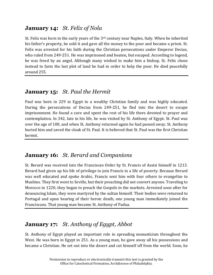# **January 14:** *St. Felix of Nola*

St. Felix was born in the early years of the 3rd century near Naples, Italy. When he inherited his father's property, he sold it and gave all the money to the poor and became a priest. St. Felix was arrested for his faith during the Christian persecutions under Emperor Decius, who ruled from 249-251. He was imprisoned and beaten, but escaped. According to legend, he was freed by an angel. Although many wished to make him a bishop, St. Felix chose instead to farm the last plot of land he had in order to help the poor. He died peacefully around 255.

# **January 15:** *St. Paul the Hermit*

Paul was born in 229 in Egypt to a wealthy Christian family and was highly educated. During the persecutions of Decius from 249-251, he fled into the desert to escape imprisonment. He found a cave and spent the rest of his life there devoted to prayer and contemplation. In 342, late in his life, he was visited by St. Anthony of Egypt. St. Paul was over the age of 100, and when St. Anthony returned again he had passed away. St. Anthony buried him and saved the cloak of St. Paul. It is believed that St. Paul was the first Christian hermit.

# **January 16:** *St. Berard and Companions*

St. Berard was received into the Franciscan Order by St. Francis of Assisi himself in 1213. Berard had given up his life of privilege to join Francis in a life of poverty. Because Berard was well educated and spoke Arabic, Francis sent him with four others to evangelize to Muslims. They first went to Seville, but their preaching did not convert anyone. Traveling to Morocco in 1220, they began to preach the Gospels in the markets. Arrested soon after for denouncing Islam, they were martyred by the sultan himself. Their bodies were returned to Portugal and upon hearing of their heroic death, one young man immediately joined the Franciscans. That young man became St. Anthony of Padua.

# **January 17:** *St. Anthony of Egypt, Abbot*

St. Anthony of Egypt played an important role in spreading monasticism throughout the West. He was born in Egypt in 251. As a young man, he gave away all his possessions and became a Christian. He set out into the desert and cut himself off from the world. Soon, he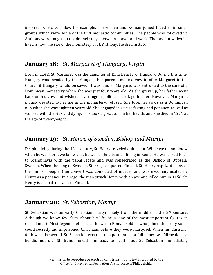inspired others to follow his example. These men and woman joined together in small groups which were some of the first monastic communities. The people who followed St. Anthony were taught to divide their days between prayer and work. The cave in which he lived is now the site of the monastery of St. Anthony. He died in 356.

# **January 18:** *St. Margaret of Hungary, Virgin*

Born in 1242, St. Margaret was the daughter of King Bela IV of Hungary. During this time, Hungary was invaded by the Mongols. Her parents made a vow to offer Margaret to the Church if Hungary would be saved. It was, and so Margaret was entrusted to the care of a Dominican monastery when she was just four years old. As she grew up, her father went back on his vow and wished to arrange a political marriage for her. However, Margaret, piously devoted to her life in the monastery, refused. She took her vows as a Dominican nun when she was eighteen years old. She engaged in severe fasting and penance, as well as worked with the sick and dying. This took a great toll on her health, and she died in 1271 at the age of twenty-eight.

# **January 19:** *St. Henry of Sweden, Bishop and Martyr*

Despite living during the 12<sup>th</sup> century, St. Henry traveled quite a lot. While we do not know when he was born, we know that he was an Englishman living in Rome. He was asked to go to Scandinavia with the papal legate and was consecrated as the Bishop of Uppsala, Sweden. When the king of Sweden, St. Eric, conquered Finland, St. Henry baptized many of the Finnish people. One convert was convicted of murder and was excommunicated by Henry as a penance. In a rage, the man struck Henry with an axe and killed him in 1156. St. Henry is the patron saint of Finland.

# **January 20:** *St. Sebastian, Martyr*

St. Sebastian was an early Christian martyr, likely from the middle of the 3<sup>rd</sup> century. Although we know few facts about his life, he is one of the most important figures in Christian art. Most legends tell us that he was a Roman soldier who joined the army so he could secretly aid imprisoned Christians before they were martyred. When his Christian faith was discovered, St. Sebastian was tied to a post and shot full of arrows. Miraculously, he did not die. St. Irene nursed him back to health, but St. Sebastian immediately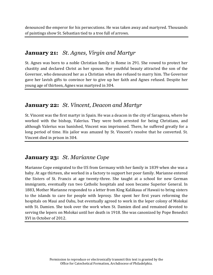denounced the emperor for his persecutions. He was taken away and martyred. Thousands of paintings show St. Sebastian tied to a tree full of arrows.

#### **January 21:** *St. Agnes, Virgin and Martyr*

St. Agnes was born to a noble Christian family in Rome in 291. She vowed to protect her chastity and declared Christ as her spouse. Her youthful beauty attracted the son of the Governor, who denounced her as a Christian when she refused to marry him. The Governor gave her lavish gifts to convince her to give up her faith and Agnes refused. Despite her young age of thirteen, Agnes was martyred in 304.

#### **January 22:** *St. Vincent, Deacon and Martyr*

St. Vincent was the first martyr in Spain. He was a deacon in the city of Saragossa, where he worked with the bishop, Valerius. They were both arrested for being Christians, and although Valerius was banished, Vincent was imprisoned. There, he suffered greatly for a long period of time. His jailor was amazed by St. Vincent's resolve that he converted. St. Vincent died in prison in 304.

# **January 23:** *St. Marianne Cope*

Marianne Cope emigrated to the US from Germany with her family in 1839 when she was a baby. At age thirteen, she worked in a factory to support her poor family. Marianne entered the Sisters of St. Francis at age twenty-three. She taught at a school for new German immigrants, eventually ran two Catholic hospitals and soon became Superior General. In 1883, Mother Marianne responded to a letter from King Kalākaua of Hawaii to bring sisters to the islands to care for people with leprosy. She spent her first years reforming the hospitals on Maui and Oahu, but eventually agreed to work in the leper colony of Molokai with St. Damien. She took over the work when St. Damien died and remained devoted to serving the lepers on Molokai until her death in 1918. She was canonized by Pope Benedict XVI in October of 2012.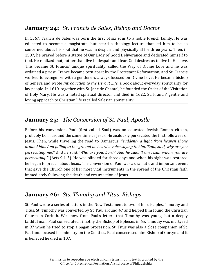# **January 24:** *St. Francis de Sales, Bishop and Doctor*

In 1567, Francis de Sales was born the first of six sons to a noble French family. He was educated to become a magistrate, but heard a theology lecture that led him to be so concerned about his soul that he was in despair and physically ill for three years. Then, in 1587, he prayed before a statue of Our Lady of Good Deliverance and dedicated himself to God. He realized that, rather than live in despair and fear, God desires us to live in His love. This became St. Francis' unique spirituality, called the Way of Divine Love and he was ordained a priest. France became torn apart by the Protestant Reformation, and St. Francis worked to evangelize with a gentleness always focused on Divine Love. He became bishop of Geneva and wrote *Introduction to the Devout Life,* a book about everyday spirituality for lay people. In 1610, together with St. Jane de Chantal, he founded the Order of the Visitation of Holy Mary. He was a noted spiritual director and died in 1622. St. Francis' gentle and loving approach to Christian life is called Salesian spirituality.

# **January 25:** *The Conversion of St. Paul, Apostle*

Before his conversion, Paul (first called Saul) was an educated Jewish Roman citizen, probably born around the same time as Jesus. He zealously persecuted the first followers of Jesus. Then, while traveling the road to Damascus, "*suddenly a light from heaven shone around him. And falling to the ground he heard a voice saying to him, 'Saul, Saul, why are you persecuting me?' And he said, 'Who are you, Lord?' And he said, 'I am Jesus, whom you are persecuting.'*" (Acts 9:1-5). He was blinded for three days and when his sight was restored he began to preach about Jesus. The conversion of Paul was a dramatic and important event that gave the Church one of her most vital instruments in the spread of the Christian faith immediately following the death and resurrection of Jesus.

# **January 26:** *Sts. Timothy and Titus, Bishops*

St. Paul wrote a series of letters in the New Testament to two of his disciples, Timothy and Titus. St. Timothy was converted by St. Paul around 47 and helped him found the Christian Church in Corinth. We know from Paul's letters that Timothy was young, but a deeply faithful man. Paul consecrated Timothy the Bishop of Ephesus in 65. Timothy was martyred in 97 when he tried to stop a pagan procession. St. Titus was also a close companion of St. Paul and focused his ministry on the Gentiles. Paul consecrated him Bishop of Gortyn and it is believed he died in 107.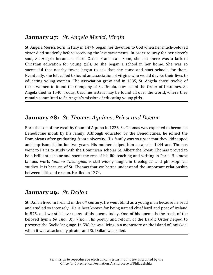# **January 27:** *St. Angela Merici, Virgin*

St. Angela Merici, born in Italy in 1474, began her devotion to God when her much-beloved sister died suddenly before receiving the last sacraments. In order to pray for her sister's soul, St. Angela became a Third Order Franciscan. Soon, she felt there was a lack of Christian education for young girls, so she began a school in her home. She was so successful that nearby towns began to ask that she come and start schools for them. Eventually, she felt called to found an association of virgins who would devote their lives to educating young women. The association grew and in 1535, St. Angela chose twelve of these women to found the Company of St. Ursula, now called the Order of Ursulines. St. Angela died in 1540. Today, Ursuline sisters may be found all over the world, where they remain committed to St. Angela's mission of educating young girls.

#### **January 28:** *St. Thomas Aquinas, Priest and Doctor*

Born the son of the wealthy Count of Aquino in 1226, St. Thomas was expected to become a Benedictine monk by his family. Although educated by the Benedictines, he joined the Dominicans after graduating from university. His family was so upset that they kidnapped and imprisoned him for two years. His mother helped him escape in 1244 and Thomas went to Paris to study with the Dominican scholar St. Albert the Great. Thomas proved to be a brilliant scholar and spent the rest of his life teaching and writing in Paris. His most famous work, *Summa Theologiae*, is still widely taught in theological and philosophical studies. It is because of St. Thomas that we better understand the important relationship between faith and reason. He died in 1274.

#### **January 29:** *St. Dallan*

St. Dallan lived in Ireland in the  $6<sup>th</sup>$  century. He went blind as a young man because he read and studied so intensely. He is best known for being named chief bard and poet of Ireland in 575, and we still have many of his poems today. One of his poems is the basis of the beloved hymn *Be Thou My Vision*. His poetry and reform of the Bardic Order helped to preserve the Gaelic language. In 598, he was living in a monastery on the island of Inniskeel when it was attacked by pirates and St. Dallan was killed.